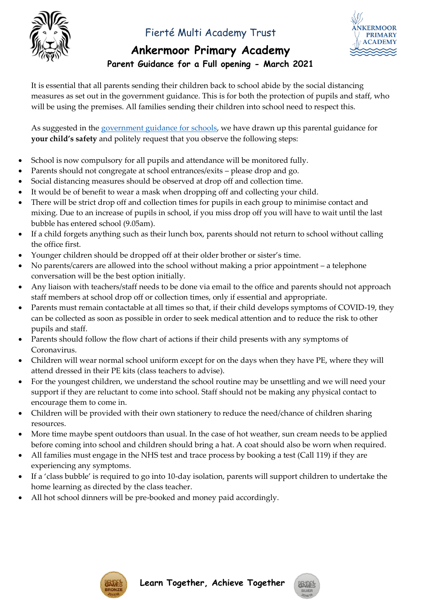

### Fierté Multi Academy Trust



## **Ankermoor Primary Academy**

**Parent Guidance for a Full opening - March 2021**

It is essential that all parents sending their children back to school abide by the social distancing measures as set out in the government guidance. This is for both the protection of pupils and staff, who will be using the premises. All families sending their children into school need to respect this.

As suggested in the [government guidance for schools,](https://assets.publishing.service.gov.uk/government/uploads/system/uploads/attachment_data/file/964351/Schools_coronavirus_operational_guidance.pdf) we have drawn up this parental guidance for **your child's safety** and politely request that you observe the following steps:

- School is now compulsory for all pupils and attendance will be monitored fully.
- Parents should not congregate at school entrances/exits please drop and go.
- Social distancing measures should be observed at drop off and collection time.
- It would be of benefit to wear a mask when dropping off and collecting your child.
- There will be strict drop off and collection times for pupils in each group to minimise contact and mixing. Due to an increase of pupils in school, if you miss drop off you will have to wait until the last bubble has entered school (9.05am).
- If a child forgets anything such as their lunch box, parents should not return to school without calling the office first.
- Younger children should be dropped off at their older brother or sister's time.
- No parents/carers are allowed into the school without making a prior appointment a telephone conversation will be the best option initially.
- Any liaison with teachers/staff needs to be done via email to the office and parents should not approach staff members at school drop off or collection times, only if essential and appropriate.
- Parents must remain contactable at all times so that, if their child develops symptoms of COVID-19, they can be collected as soon as possible in order to seek medical attention and to reduce the risk to other pupils and staff.
- Parents should follow the flow chart of actions if their child presents with any symptoms of Coronavirus.
- Children will wear normal school uniform except for on the days when they have PE, where they will attend dressed in their PE kits (class teachers to advise).
- For the youngest children, we understand the school routine may be unsettling and we will need your support if they are reluctant to come into school. Staff should not be making any physical contact to encourage them to come in.
- Children will be provided with their own stationery to reduce the need/chance of children sharing resources.
- More time maybe spent outdoors than usual. In the case of hot weather, sun cream needs to be applied before coming into school and children should bring a hat. A coat should also be worn when required.
- All families must engage in the NHS test and trace process by booking a test (Call 119) if they are experiencing any symptoms.
- If a 'class bubble' is required to go into 10-day isolation, parents will support children to undertake the home learning as directed by the class teacher.
- All hot school dinners will be pre-booked and money paid accordingly.